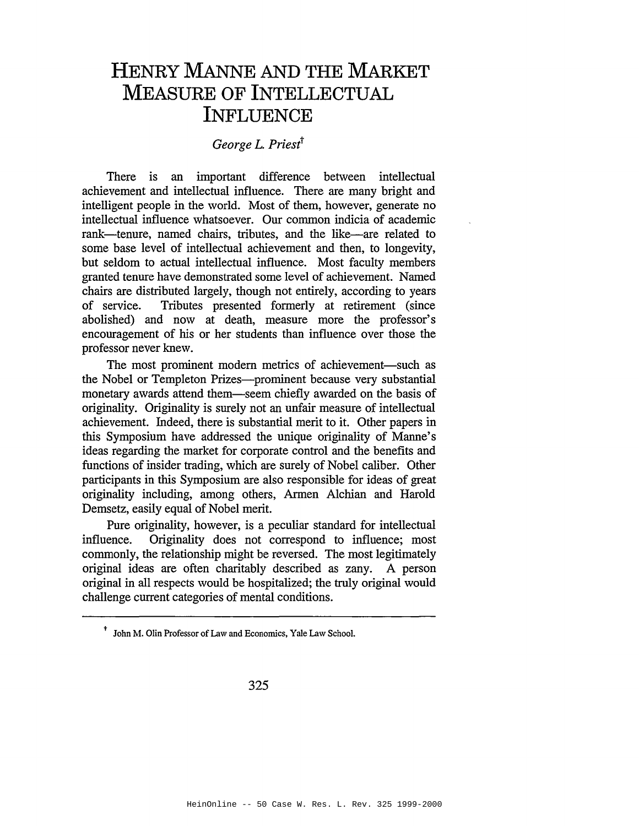## **HENRY MANNE AND THE MARKET MEASURE OF INTELLECTUAL INFLUENCE**

## *George* L. *Priestt*

There is an important difference between intellectual achievement and intellectual influence. There are many bright and intelligent people in the world. Most of them, however, generate no intellectual influence whatsoever. Our common indicia of academic rank-tenure, named chairs, tributes, and the like-are related to some base level of intellectual achievement and then, to longevity, but seldom to actual intellectual influence. Most faculty members granted tenure have demonstrated some level of achievement. Named chairs are distributed largely, though not entirely, according to years of service. Tributes presented formerly at retirement (since abolished) and now at death, measure more the professor's encouragement of his or her students than influence over those the professor never knew.

The most prominent modern metrics of achievement-such as the Nobel or Templeton Prizes—prominent because very substantial monetary awards attend them-seem chiefly awarded on the basis of originality. Originality is surely not an unfair measure of intellectual achievement. Indeed, there is substantial merit to it. Other papers in this Symposium have addressed the unique originality of Manne's ideas regarding the market for corporate control and the benefits and functions of insider trading, which are surely of Nobel caliber. Other participants in this Symposium are also responsible for ideas of great originality including, among others, Armen Alehian and Harold Demsetz, easily equal of Nobel merit.

Pure originality, however, is a peculiar standard for intellectual influence. Originality does not correspond to influence; most commonly, the relationship might be reversed. The most legitimately original ideas are often charitably described as zany. A person original in all respects would be hospitalized; the truly original would challenge current categories of mental conditions.

<sup>&</sup>lt;sup>†</sup> John M. Olin Professor of Law and Economics, Yale Law School.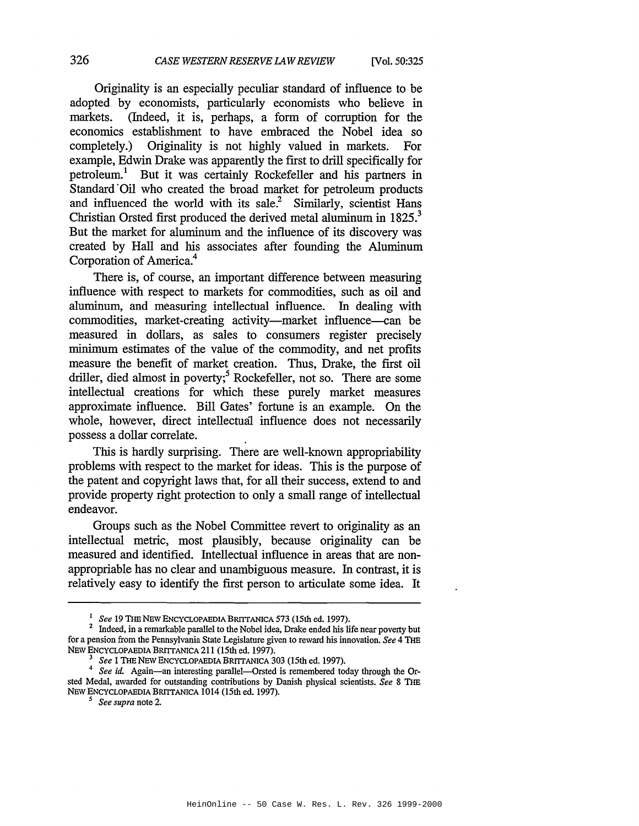Originality is an especially peculiar standard of influence to be adopted by economists, particularly economists who believe in markets. (Indeed, it is, perhaps, a form of corruption for the economics establishment to have embraced the Nobel idea so completely.) Originality is not highly valued in markets. For example, Edwin Drake was apparently the first to drill specifically for petroleum.<sup>1</sup> But it was certainly Rockefeller and his partners in Standard'Oil who created the broad market for petroleum products and influenced the world with its sale? Similarly, scientist Hans Christian Orsted first produced the derived metal aluminum in 1825.<sup>3</sup> But the market for aluminum and the influence of its discovery was created by Hall and his associates after founding the Aluminum Corporation of America.4

There is, of course, an important difference between measuring influence with respect to markets for commodities, such as oil and aluminum, and measuring intellectual influence. In dealing with commodities, market-creating activity-market influence-can be measured in dollars, as sales to consumers register precisely minimum estimates of the value of the commodity, and net profits measure the benefit of market creation. Thus, Drake, the first oil driller, died almost in poverty;<sup>5</sup> Rockefeller, not so. There are some intellectual creations for which these purely market measures approximate influence. Bill Gates' fortune is an example. On the whole, however, direct intellectual influence does not necessarily possess a dollar correlate.

This is hardly surprising. There are well-known appropriability problems with respect to the market for ideas. This is the purpose of the patent and copyright laws that, for all their success, extend to and provide property right protection to only a small range of intellectual endeavor.

Groups such as the Nobel Committee revert to originality as an intellectual metric, most plausibly, because originality can be measured and identified. Intellectual influence in areas that are nonappropriable has no clear and unambiguous measure. In contrast, it is relatively easy to identify the first person to articulate some idea. It

<sup>I</sup> *See* 19 THE NEW ENCYCLOPAEDIA BRIITANICA 573 (15th ed. 1997).

<sup>&</sup>lt;sup>2</sup> Indeed, in a remarkable parallel to the Nobel idea, Drake ended his life near poverty but for a pension from the Pennsylvania State Legislature given to reward his innovation. *See* 4 THE NEW ENCYCLOPAEDIA BRITTANICA 211 (15th ed. 1997).

See 1 THE NEW ENCYCLOPAEDIA BRITTANICA 303 (15th ed. 1997).

*<sup>4</sup> See id.* Again-an interesting parallel-Crsted is remembered today through the Orsted Medal, awarded for outstanding contributions by Danish physical scientists. *See* 8 THE NEW ENCYCLOPAEDIA BRITTANICA 1014 (15th ed. 1997).

<sup>S</sup> *See supra* note 2.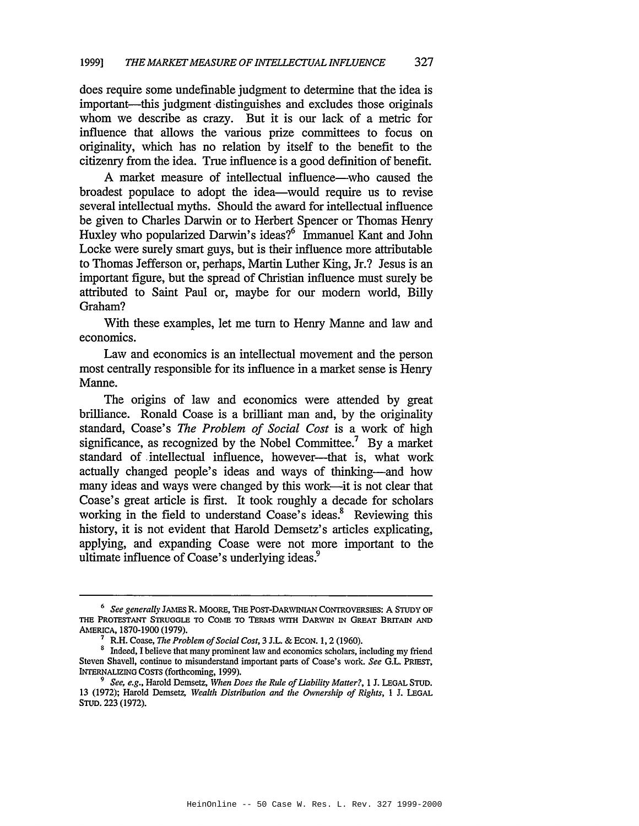does require some undefinable judgment to determine that the idea is important—this judgment distinguishes and excludes those originals whom we describe as crazy. But it is our lack of a metric for influence that allows the various prize committees to focus on originality, which has no relation by itself to the benefit to the citizenry from the idea. True influence is a good definition of benefit.

A market measure of intellectual influence—who caused the broadest populace to adopt the idea-would require us to revise several intellectual myths. Should the award for intellectual influence be given to Charles Darwin or to Herbert Spencer or Thomas Henry Huxley who popularized Darwin's ideas?<sup>6</sup> Immanuel Kant and John Locke were surely smart guys, but is their influence more attributable to Thomas Jefferson or, perhaps, Martin Luther King, Jr.? Jesus is an important figure, but the spread of Christian influence must surely be attributed to Saint Paul or, maybe for our modern world, Billy Graham?

With these examples, let me turn to Henry Manne and law and economics.

Law and economics is an intellectual movement and the person most centrally responsible for its influence in a market sense is Henry Manne.

The origins of law and economics were attended by great brilliance. Ronald Coase is a brilliant man and, by the originality standard, Coase's *The Problem of Social Cost* is a work of high significance, as recognized by the Nobel Committee.<sup>7</sup> By a market standard of intellectual influence, however--that is, what work actually changed people's ideas and ways of thinking-and how many ideas and ways were changed by this work—it is not clear that Coase's great article is first. It took roughly a decade for scholars working in the field to understand  $\text{Coase's ideas}^8$ . Reviewing this history, it is not evident that Harold Demsetz's articles explicating, applying, and expanding Coase were not more important to the ultimate influence of Coase's underlying ideas.<sup>9</sup>

*<sup>6</sup> See generally* JAMES R. MOORE, THE POST-DARWINIAN CONTROVERSIES: A STUDY OF THE PROTESTANT STRUGGLE TO COME TO TERMS WITH DARWIN IN GREAT BRITAIN AND AMERICA, 1870-1900 (1979).

<sup>7</sup> R.H. Coase, *17le Problem ofSocial Cost,* 3 J.L. & BeON. 1,2 (1960).

<sup>&</sup>lt;sup>8</sup> Indeed, I believe that many prominent law and economics scholars, including my friend Steven Shavell, continue to misunderstand important parts of Coase's work. *See* G.L. PRIEST, INTERNALIZING COSTS (forthcoming, 1999).

<sup>9</sup> *See, e.g.,* Harold Demsetz, *When Does the Rule ofliability Matter?,* 1 J. LEGAL STUD. 13 (1972); Harold Demsetz, *Wealth Distribution and the Ownership of Rights,* 1 J. LEGAL STUD. 223 (1972).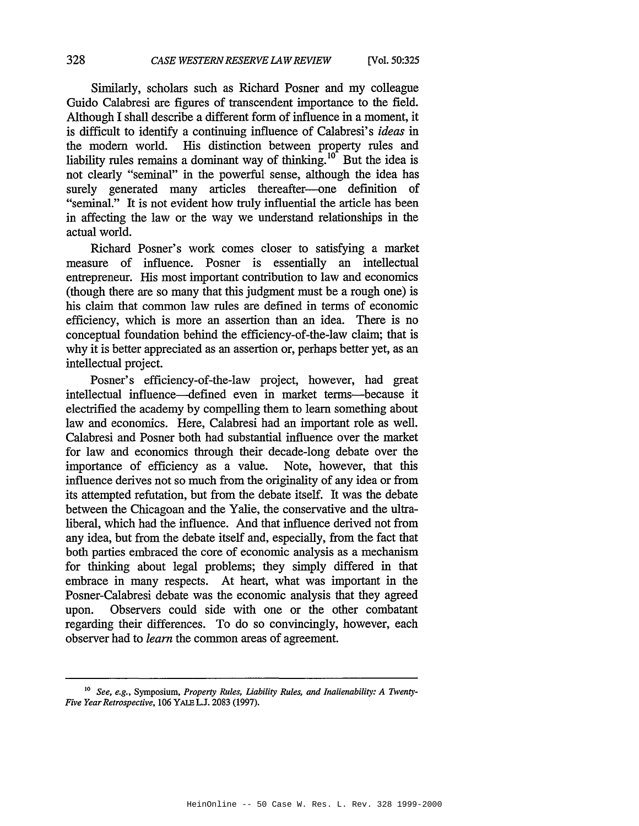Similarly, scholars such as Richard Posner and my colleague Guido Calabresi are figures of transcendent importance to the field. Although I shall describe a different form of influence in a moment, it is difficult to identify a continuing influence of Calabresi's *ideas* in the modern world. His distinction between property rules and liability rules remains a dominant way of thinking.<sup>10</sup> But the idea is not clearly "seminal" in the powerful sense, although the idea has surely generated many articles thereafter--one definition of "seminal." It is not evident how truly influential the article has been in affecting the law or the way we understand relationships in the actual world.

Richard Posner's work comes closer to satisfying a market measure of influence. Posner is essentially an intellectual entrepreneur. His most important contribution to law and economics (though there are so many that this judgment must be a rough one) is his claim that common law rules are defined in terms of economic efficiency, which is more an assertion than an idea. There is no conceptual foundation behind the efficiency-of-the-Iaw claim; that is why it is better appreciated as an assertion or, perhaps better yet, as an intellectual project.

Posner's efficiency-of-the-Iaw project, however, had great intellectual influence-defined even in market terms-because it electrified the academy by compelling them to learn something about law and economics. Here, Calabresi had an important role as well. Calabresi and Posner both had substantial influence over the market for law and economics through their decade-long debate over the importance of efficiency as a value. Note, however, that this influence derives not so much from the originality of any idea or from its attempted refutation, but from the debate itself. It was the debate between the Chicagoan and the Yalie, the conservative and the ultraliberal, which had the influence. And that influence derived not from any idea, but from the debate itself and, especially, from the fact that both parties embraced the core of economic analysis as a mechanism for thinking about legal problems; they simply differed in that embrace in many respects. At heart, what was important in the Posner-Calabresi debate was the economic analysis that they agreed upon. Observers could side with one or the other combatant regarding their differences. To do so convincingly, however, each observer had to *learn* the common areas of agreement.

<sup>10</sup> *See, e.g.,* Symposium, *Property Rules, Liability Rules,* and *Inalienability: A Twenty-Five Year Retrospective,* 106 YALEL.J. 2083 (1997).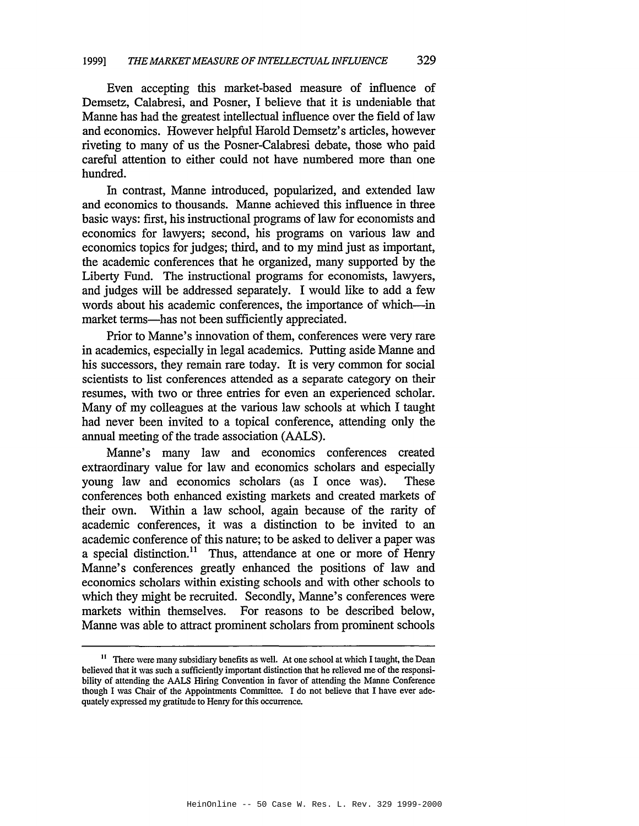Even accepting this market-based measure of influence of Demsetz, Calabresi, and Posner, I believe that it is undeniable that Manne has had the greatest intellectual influence over the field of law and economics. However helpful Harold Demsetz's articles, however riveting to many of us the Posner-Calabresi debate, those who paid careful attention to either could not have numbered more than one hundred.

In contrast, Manne introduced, popularized, and extended law and economics to thousands. Manne achieved this influence in three basic ways: first, his instructional programs of law for economists and economics for lawyers; second, his programs on various law and economics topics for judges; third, and to my mind just as important, the academic conferences that he organized, many supported by the Liberty Fund. The instructional programs for economists, lawyers, and judges will be addressed separately. I would like to add a few words about his academic conferences, the importance of which-in market terms-has not been sufficiently appreciated.

Prior to Manne's innovation of them, conferences were very rare in academics, especially in legal academics. Putting aside Manne and his successors, they remain rare today. It is very common for social scientists to list conferences attended as a separate category on their resumes, with two or three entries for even an experienced scholar. Many of my colleagues at the various law schools at which I taught had never been invited to a topical conference, attending only the annual meeting of the trade association (AALS).

Manne's many law and economics conferences created extraordinary value for law and economics scholars and especially young law and economics scholars (as I once was). These conferences both enhanced existing markets and created markets of their own. Within a law school, again because of the rarity of academic conferences, it was a distinction to be invited to an academic conference of this nature; to be asked to deliver a paper was a special distinction.<sup>11</sup> Thus, attendance at one or more of Henry Manne's conferences greatly enhanced the positions of law and economics scholars within existing schools and with other schools to which they might be recruited. Secondly, Manne's conferences were markets within themselves. For reasons to be described below, Manne was able to attract prominent scholars from prominent schools

<sup>&</sup>lt;sup>11</sup> There were many subsidiary benefits as well. At one school at which I taught, the Dean believed that it was such a sufficiently important distinction that he relieved me of the responsibility of attending the AALS Hiring Convention in favor of attending the Manne Conference though I was Chair of the Appointments Committee. I do not believe that I have ever adequately expressed my gratitude to Henry for this occurrence.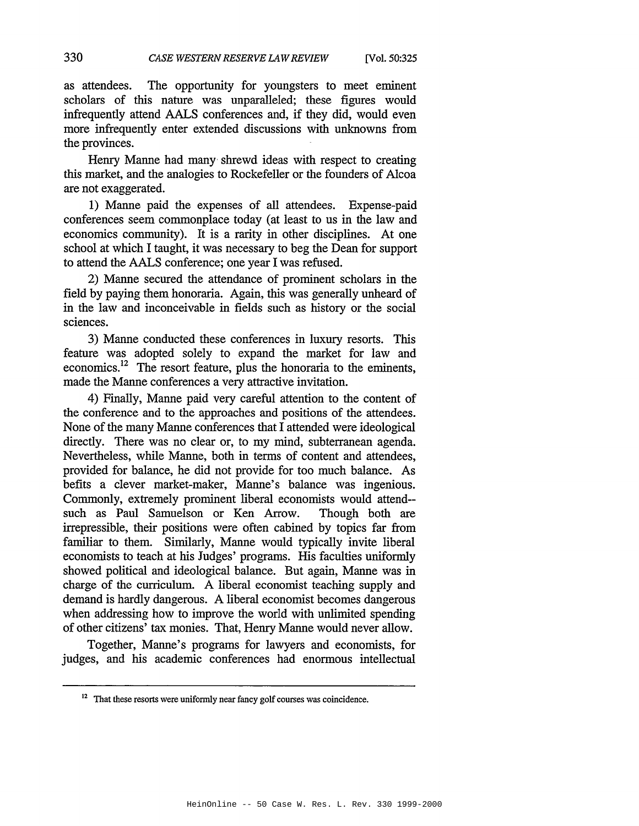as attendees. The opportunity for youngsters to meet eminent scholars of this nature was unparalleled; these figures would infrequently attend AALS conferences and, if they did, would even more infrequently enter extended discussions with unknowns from the provinces.

Henry Manne had many shrewd ideas with respect to creating this market, and the analogies to Rockefeller or the founders of Alcoa are not exaggerated.

1) Manne paid the expenses of all attendees. Expense-paid conferences seem commonplace today (at least to us in the law and economics community). It is a rarity in other disciplines. At one school at which I taught, it was necessary to beg the Dean for support to attend the AALS conference; one year I was refused.

2) Manne secured the attendance of prominent scholars in the field by paying them honoraria. Again, this was generally unheard of in the law and inconceivable in fields such as history or the social sciences.

3) Manne conducted these conferences in luxury resorts. This feature was adopted solely to expand the market for law and economics.<sup>12</sup> The resort feature, plus the honoraria to the eminents, made the Manne conferences a very attractive invitation.

4) Finally, Manne paid very careful attention to the content of the conference and to the approaches and positions of the attendees. None of the many Manne conferences that I attended were ideological directly. There was no clear or, to my mind, subterranean agenda. Nevertheless, while Manne, both in terms of content and attendees, provided for balance, he did not provide for too much balance. As befits a clever market-maker, Manne's balance was ingenious. Commonly, extremely prominent liberal economists would attend- such as Paul Samuelson or Ken Arrow. Though both are irrepressible, their positions were often cabined by topics far from familiar to them. Similarly, Manne would typically invite liberal economists to teach at his Judges' programs. His faculties uniformly showed political and ideological balance. But again, Manne was in charge of the curriculum. A liberal economist teaching supply and demand is hardly dangerous. A liberal economist becomes dangerous when addressing how to improve the world with unlimited spending of other citizens' tax monies. That, Henry Manne would never allow.

Together, Manne's programs for lawyers and economists, for judges, and his academic conferences had enormous intellectual

<sup>&</sup>lt;sup>12</sup> That these resorts were uniformly near fancy golf courses was coincidence.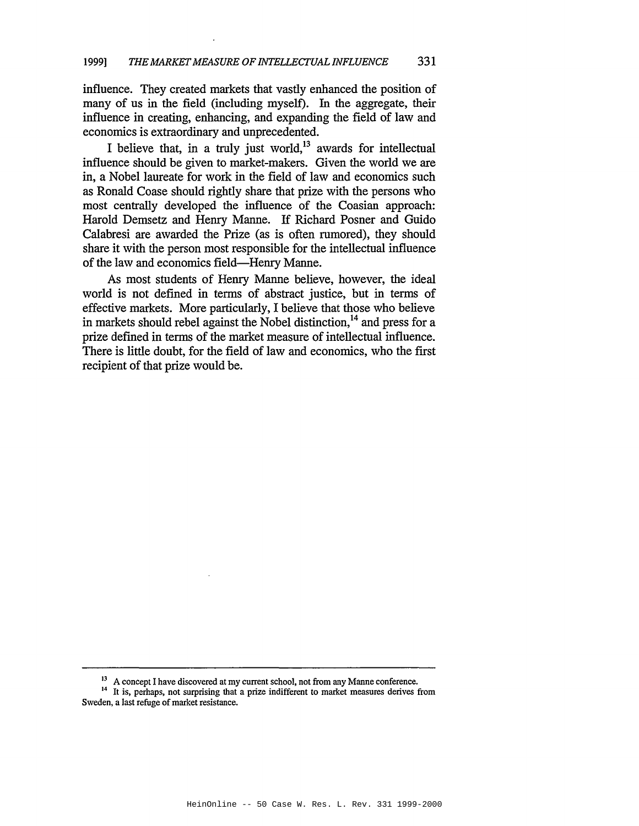influence. They created markets that vastly enhanced the position of many of us in the field (including myself). In the aggregate, their influence in creating, enhancing, and expanding the field of law and economics is extraordinary and unprecedented.

I believe that, in a truly just world, $13$  awards for intellectual influence should be given to market-makers. Given the world we are in, a Nobel laureate for work in the field of law and economics such as Ronald Coase should rightly share that prize with the persons who most centrally developed the influence of the Coasian approach: Harold Demsetz and Henry Manne. If Richard Posner and Guido Calabresi are awarded the Prize (as is often rumored), they should share it with the person most responsible for the intellectual influence of the law and economics field-Henry Manne.

As most students of Henry Manne believe, however, the ideal world is not defined in terms of abstract justice, but in terms of effective markets. More particularly, I believe that those who believe in markets should rebel against the Nobel distinction,<sup>14</sup> and press for a prize defined in terms of the market measure of intellectual influence. There is little doubt, for the field of law and economics, who the first recipient of that prize would be.

<sup>&</sup>lt;sup>13</sup> A concept I have discovered at my current school, not from any Manne conference.

<sup>&</sup>lt;sup>14</sup> It is, perhaps, not surprising that a prize indifferent to market measures derives from Sweden, a last refuge of market resistance.